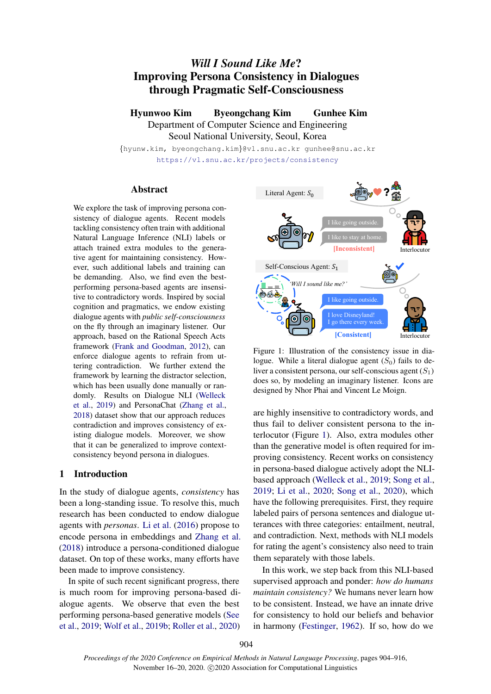# *Will I Sound Like Me*? Improving Persona Consistency in Dialogues through Pragmatic Self-Consciousness

Hyunwoo Kim Byeongchang Kim Gunhee Kim Department of Computer Science and Engineering Seoul National University, Seoul, Korea

{hyunw.kim, byeongchang.kim}@vl.snu.ac.kr gunhee@snu.ac.kr <https://vl.snu.ac.kr/projects/consistency>

# Abstract

We explore the task of improving persona consistency of dialogue agents. Recent models tackling consistency often train with additional Natural Language Inference (NLI) labels or attach trained extra modules to the generative agent for maintaining consistency. However, such additional labels and training can be demanding. Also, we find even the bestperforming persona-based agents are insensitive to contradictory words. Inspired by social cognition and pragmatics, we endow existing dialogue agents with *public self-consciousness* on the fly through an imaginary listener. Our approach, based on the Rational Speech Acts framework [\(Frank and Goodman,](#page-9-0) [2012\)](#page-9-0), can enforce dialogue agents to refrain from uttering contradiction. We further extend the framework by learning the distractor selection, which has been usually done manually or randomly. Results on Dialogue NLI [\(Welleck](#page-10-0) [et al.,](#page-10-0) [2019\)](#page-10-0) and PersonaChat [\(Zhang et al.,](#page-10-1) [2018\)](#page-10-1) dataset show that our approach reduces contradiction and improves consistency of existing dialogue models. Moreover, we show that it can be generalized to improve contextconsistency beyond persona in dialogues.

# 1 Introduction

In the study of dialogue agents, *consistency* has been a long-standing issue. To resolve this, much research has been conducted to endow dialogue agents with *personas*. [Li et al.](#page-9-1) [\(2016\)](#page-9-1) propose to encode persona in embeddings and [Zhang et al.](#page-10-1) [\(2018\)](#page-10-1) introduce a persona-conditioned dialogue dataset. On top of these works, many efforts have been made to improve consistency.

In spite of such recent significant progress, there is much room for improving persona-based dialogue agents. We observe that even the best performing persona-based generative models [\(See](#page-10-2) [et al.,](#page-10-2) [2019;](#page-10-2) [Wolf et al.,](#page-10-3) [2019b;](#page-10-3) [Roller et al.,](#page-9-2) [2020\)](#page-9-2)

<span id="page-0-0"></span>

Figure 1: Illustration of the consistency issue in dialogue. While a literal dialogue agent  $(S_0)$  fails to deliver a consistent persona, our self-conscious agent  $(S_1)$ does so, by modeling an imaginary listener. Icons are designed by Nhor Phai and Vincent Le Moign.

are highly insensitive to contradictory words, and thus fail to deliver consistent persona to the interlocutor (Figure [1\)](#page-0-0). Also, extra modules other than the generative model is often required for improving consistency. Recent works on consistency in persona-based dialogue actively adopt the NLIbased approach [\(Welleck et al.,](#page-10-0) [2019;](#page-10-0) [Song et al.,](#page-10-4) [2019;](#page-10-4) [Li et al.,](#page-9-3) [2020;](#page-9-3) [Song et al.,](#page-10-5) [2020\)](#page-10-5), which have the following prerequisites. First, they require labeled pairs of persona sentences and dialogue utterances with three categories: entailment, neutral, and contradiction. Next, methods with NLI models for rating the agent's consistency also need to train them separately with those labels.

In this work, we step back from this NLI-based supervised approach and ponder: *how do humans maintain consistency?* We humans never learn how to be consistent. Instead, we have an innate drive for consistency to hold our beliefs and behavior in harmony [\(Festinger,](#page-9-4) [1962\)](#page-9-4). If so, how do we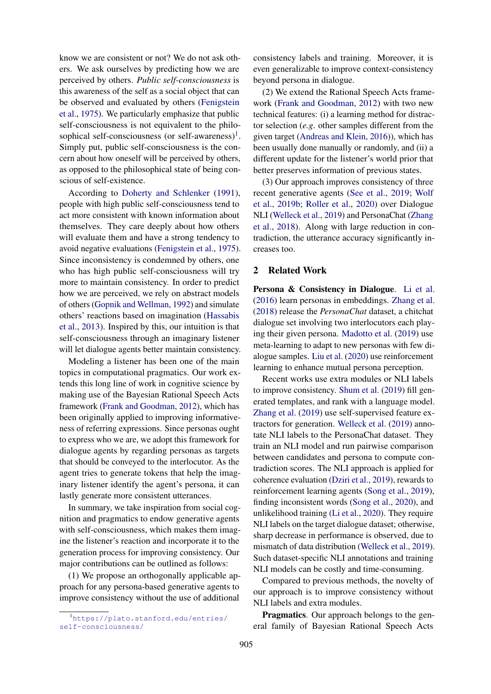know we are consistent or not? We do not ask others. We ask ourselves by predicting how we are perceived by others. *Public self-consciousness* is this awareness of the self as a social object that can be observed and evaluated by others [\(Fenigstein](#page-9-5) [et al.,](#page-9-5) [1975\)](#page-9-5). We particularly emphasize that public self-consciousness is not equivalent to the philo-sophical self-consciousness (or self-awareness)<sup>[1](#page-1-0)</sup>. Simply put, public self-consciousness is the concern about how oneself will be perceived by others, as opposed to the philosophical state of being conscious of self-existence.

According to [Doherty and Schlenker](#page-9-6) [\(1991\)](#page-9-6), people with high public self-consciousness tend to act more consistent with known information about themselves. They care deeply about how others will evaluate them and have a strong tendency to avoid negative evaluations [\(Fenigstein et al.,](#page-9-5) [1975\)](#page-9-5). Since inconsistency is condemned by others, one who has high public self-consciousness will try more to maintain consistency. In order to predict how we are perceived, we rely on abstract models of others [\(Gopnik and Wellman,](#page-9-7) [1992\)](#page-9-7) and simulate others' reactions based on imagination [\(Hassabis](#page-9-8) [et al.,](#page-9-8) [2013\)](#page-9-8). Inspired by this, our intuition is that self-consciousness through an imaginary listener will let dialogue agents better maintain consistency.

Modeling a listener has been one of the main topics in computational pragmatics. Our work extends this long line of work in cognitive science by making use of the Bayesian Rational Speech Acts framework [\(Frank and Goodman,](#page-9-0) [2012\)](#page-9-0), which has been originally applied to improving informativeness of referring expressions. Since personas ought to express who we are, we adopt this framework for dialogue agents by regarding personas as targets that should be conveyed to the interlocutor. As the agent tries to generate tokens that help the imaginary listener identify the agent's persona, it can lastly generate more consistent utterances.

In summary, we take inspiration from social cognition and pragmatics to endow generative agents with self-consciousness, which makes them imagine the listener's reaction and incorporate it to the generation process for improving consistency. Our major contributions can be outlined as follows:

(1) We propose an orthogonally applicable approach for any persona-based generative agents to improve consistency without the use of additional

consistency labels and training. Moreover, it is even generalizable to improve context-consistency beyond persona in dialogue.

(2) We extend the Rational Speech Acts framework [\(Frank and Goodman,](#page-9-0) [2012\)](#page-9-0) with two new technical features: (i) a learning method for distractor selection (*e.g*. other samples different from the given target [\(Andreas and Klein,](#page-9-9) [2016\)](#page-9-9)), which has been usually done manually or randomly, and (ii) a different update for the listener's world prior that better preserves information of previous states.

(3) Our approach improves consistency of three recent generative agents [\(See et al.,](#page-10-2) [2019;](#page-10-2) [Wolf](#page-10-3) [et al.,](#page-10-3) [2019b;](#page-10-3) [Roller et al.,](#page-9-2) [2020\)](#page-9-2) over Dialogue NLI [\(Welleck et al.,](#page-10-0) [2019\)](#page-10-0) and PersonaChat [\(Zhang](#page-10-1) [et al.,](#page-10-1) [2018\)](#page-10-1). Along with large reduction in contradiction, the utterance accuracy significantly increases too.

# 2 Related Work

Persona & Consistency in Dialogue. [Li et al.](#page-9-1) [\(2016\)](#page-9-1) learn personas in embeddings. [Zhang et al.](#page-10-1) [\(2018\)](#page-10-1) release the *PersonaChat* dataset, a chitchat dialogue set involving two interlocutors each playing their given persona. [Madotto et al.](#page-9-10) [\(2019\)](#page-9-10) use meta-learning to adapt to new personas with few dialogue samples. [Liu et al.](#page-9-11) [\(2020\)](#page-9-11) use reinforcement learning to enhance mutual persona perception.

Recent works use extra modules or NLI labels to improve consistency. [Shum et al.](#page-10-6) [\(2019\)](#page-10-6) fill generated templates, and rank with a language model. [Zhang et al.](#page-10-7) [\(2019\)](#page-10-7) use self-supervised feature extractors for generation. [Welleck et al.](#page-10-0) [\(2019\)](#page-10-0) annotate NLI labels to the PersonaChat dataset. They train an NLI model and run pairwise comparison between candidates and persona to compute contradiction scores. The NLI approach is applied for coherence evaluation [\(Dziri et al.,](#page-9-12) [2019\)](#page-9-12), rewards to reinforcement learning agents [\(Song et al.,](#page-10-4) [2019\)](#page-10-4), finding inconsistent words [\(Song et al.,](#page-10-5) [2020\)](#page-10-5), and unlikelihood training [\(Li et al.,](#page-9-3) [2020\)](#page-9-3). They require NLI labels on the target dialogue dataset; otherwise, sharp decrease in performance is observed, due to mismatch of data distribution [\(Welleck et al.,](#page-10-0) [2019\)](#page-10-0). Such dataset-specific NLI annotations and training NLI models can be costly and time-consuming.

Compared to previous methods, the novelty of our approach is to improve consistency without NLI labels and extra modules.

Pragmatics. Our approach belongs to the general family of Bayesian Rational Speech Acts

<span id="page-1-0"></span><sup>1</sup>[https://plato.stanford.edu/entries/](https://plato.stanford.edu/entries/self-consciousness/) [self-consciousness/](https://plato.stanford.edu/entries/self-consciousness/)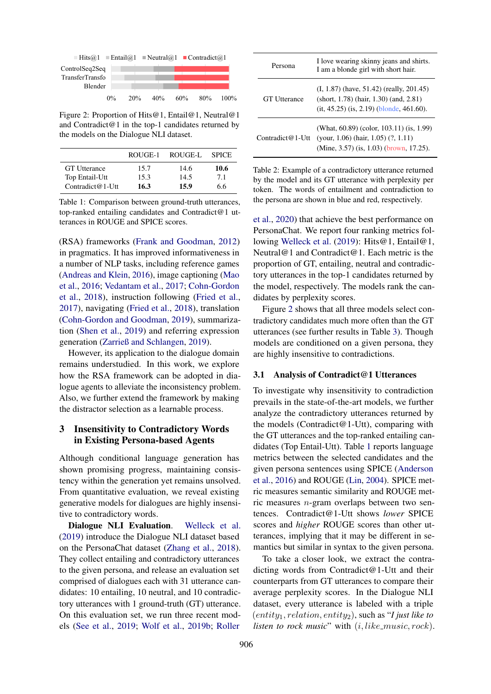<span id="page-2-0"></span>

| $\Box$ Hits@1 $\Box$ Entail@1 $\Box$ Neutral@1 $\Box$ Contradict@1 |       |     |     |     |     |      |
|--------------------------------------------------------------------|-------|-----|-----|-----|-----|------|
| ControlSeq2Seq                                                     |       |     |     |     |     |      |
| TransferTransfo<br>Blender                                         |       |     |     |     |     |      |
|                                                                    | $0\%$ | 20% | 40% | 60% | 80% | 100% |

Figure 2: Proportion of Hits@1, Entail@1, Neutral@1 and Contradict@1 in the top-1 candidates returned by the models on the Dialogue NLI dataset.

<span id="page-2-1"></span>

|                     | ROUGE-1 | ROUGE-L | <b>SPICE</b> |
|---------------------|---------|---------|--------------|
| <b>GT</b> Utterance | 15.7    | 14.6    | 10.6         |
| Top Entail-Utt      | 15.3    | 14.5    | 7.1          |
| Contradict@1-Utt    | 16.3    | 15.9    | 6.6          |

Table 1: Comparison between ground-truth utterances, top-ranked entailing candidates and Contradict@1 utterances in ROUGE and SPICE scores.

(RSA) frameworks [\(Frank and Goodman,](#page-9-0) [2012\)](#page-9-0) in pragmatics. It has improved informativeness in a number of NLP tasks, including reference games [\(Andreas and Klein,](#page-9-9) [2016\)](#page-9-9), image captioning [\(Mao](#page-9-13) [et al.,](#page-9-13) [2016;](#page-9-13) [Vedantam et al.,](#page-10-8) [2017;](#page-10-8) [Cohn-Gordon](#page-9-14) [et al.,](#page-9-14) [2018\)](#page-9-14), instruction following [\(Fried et al.,](#page-9-15) [2017\)](#page-9-15), navigating [\(Fried et al.,](#page-9-16) [2018\)](#page-9-16), translation [\(Cohn-Gordon and Goodman,](#page-9-17) [2019\)](#page-9-17), summarization [\(Shen et al.,](#page-10-9) [2019\)](#page-10-9) and referring expression generation [\(Zarrieß and Schlangen,](#page-10-10) [2019\)](#page-10-10).

However, its application to the dialogue domain remains understudied. In this work, we explore how the RSA framework can be adopted in dialogue agents to alleviate the inconsistency problem. Also, we further extend the framework by making the distractor selection as a learnable process.

# 3 Insensitivity to Contradictory Words in Existing Persona-based Agents

Although conditional language generation has shown promising progress, maintaining consistency within the generation yet remains unsolved. From quantitative evaluation, we reveal existing generative models for dialogues are highly insensitive to contradictory words.

Dialogue NLI Evaluation. [Welleck et al.](#page-10-0) [\(2019\)](#page-10-0) introduce the Dialogue NLI dataset based on the PersonaChat dataset [\(Zhang et al.,](#page-10-1) [2018\)](#page-10-1). They collect entailing and contradictory utterances to the given persona, and release an evaluation set comprised of dialogues each with 31 utterance candidates: 10 entailing, 10 neutral, and 10 contradictory utterances with 1 ground-truth (GT) utterance. On this evaluation set, we run three recent models [\(See et al.,](#page-10-2) [2019;](#page-10-2) [Wolf et al.,](#page-10-3) [2019b;](#page-10-3) [Roller](#page-9-2)

<span id="page-2-2"></span>

| Persona             | I love wearing skinny jeans and shirts.<br>I am a blonde girl with short hair.                                                                |
|---------------------|-----------------------------------------------------------------------------------------------------------------------------------------------|
| <b>GT</b> Utterance | $(I, 1.87)$ (have, 51.42) (really, 201.45)<br>(short, $1.78$ ) (hair, $1.30$ ) (and, $2.81$ )<br>$(it, 45.25)$ $(is, 2.19)$ (blonde, 461.60). |
| Contradict@1-Utt    | (What, 60.89) (color, 103.11) (is, 1.99)<br>(your, $1.06$ ) (hair, $1.05$ ) $(?, 1.11)$<br>(Mine, 3.57) (is, 1.03) (brown, 17.25).            |

Table 2: Example of a contradictory utterance returned by the model and its GT utterance with perplexity per token. The words of entailment and contradiction to the persona are shown in blue and red, respectively.

[et al.,](#page-9-2) [2020\)](#page-9-2) that achieve the best performance on PersonaChat. We report four ranking metrics following [Welleck et al.](#page-10-0) [\(2019\)](#page-10-0): Hits@1, Entail@1, Neutral@1 and Contradict@1. Each metric is the proportion of GT, entailing, neutral and contradictory utterances in the top-1 candidates returned by the model, respectively. The models rank the candidates by perplexity scores.

Figure [2](#page-2-0) shows that all three models select contradictory candidates much more often than the GT utterances (see further results in Table [3\)](#page-5-0). Though models are conditioned on a given persona, they are highly insensitive to contradictions.

# 3.1 Analysis of Contradict@1 Utterances

To investigate why insensitivity to contradiction prevails in the state-of-the-art models, we further analyze the contradictory utterances returned by the models (Contradict@1-Utt), comparing with the GT utterances and the top-ranked entailing candidates (Top Entail-Utt). Table [1](#page-2-1) reports language metrics between the selected candidates and the given persona sentences using SPICE [\(Anderson](#page-9-18) [et al.,](#page-9-18) [2016\)](#page-9-18) and ROUGE [\(Lin,](#page-9-19) [2004\)](#page-9-19). SPICE metric measures semantic similarity and ROUGE metric measures n-gram overlaps between two sentences. Contradict@1-Utt shows *lower* SPICE scores and *higher* ROUGE scores than other utterances, implying that it may be different in semantics but similar in syntax to the given persona.

To take a closer look, we extract the contradicting words from Contradict@1-Utt and their counterparts from GT utterances to compare their average perplexity scores. In the Dialogue NLI dataset, every utterance is labeled with a triple  $(entity_1, relation, entity_2)$ , such as "*I just like to*" *listen to rock music*" with  $(i, like\_music, rock)$ .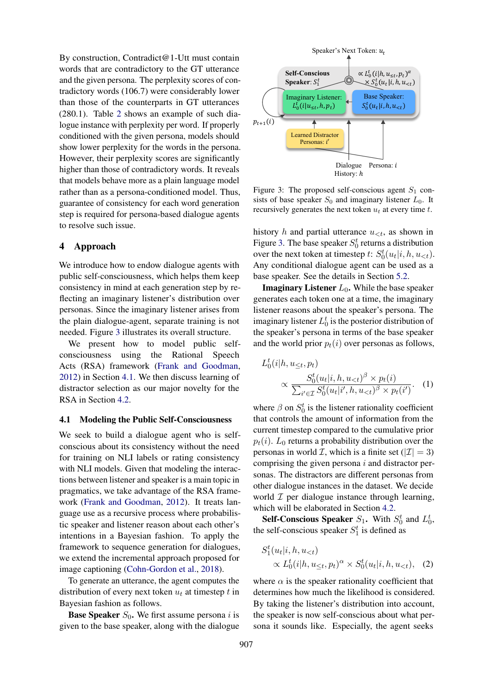By construction, Contradict@1-Utt must contain words that are contradictory to the GT utterance and the given persona. The perplexity scores of contradictory words (106.7) were considerably lower than those of the counterparts in GT utterances (280.1). Table [2](#page-2-2) shows an example of such dialogue instance with perplexity per word. If properly conditioned with the given persona, models should show lower perplexity for the words in the persona. However, their perplexity scores are significantly higher than those of contradictory words. It reveals that models behave more as a plain language model rather than as a persona-conditioned model. Thus, guarantee of consistency for each word generation step is required for persona-based dialogue agents to resolve such issue.

# 4 Approach

We introduce how to endow dialogue agents with public self-consciousness, which helps them keep consistency in mind at each generation step by reflecting an imaginary listener's distribution over personas. Since the imaginary listener arises from the plain dialogue-agent, separate training is not needed. Figure [3](#page-3-0) illustrates its overall structure.

We present how to model public selfconsciousness using the Rational Speech Acts (RSA) framework [\(Frank and Goodman,](#page-9-0) [2012\)](#page-9-0) in Section [4.1.](#page-3-1) We then discuss learning of distractor selection as our major novelty for the RSA in Section [4.2.](#page-4-0)

# <span id="page-3-1"></span>4.1 Modeling the Public Self-Consciousness

We seek to build a dialogue agent who is selfconscious about its consistency without the need for training on NLI labels or rating consistency with NLI models. Given that modeling the interactions between listener and speaker is a main topic in pragmatics, we take advantage of the RSA framework [\(Frank and Goodman,](#page-9-0) [2012\)](#page-9-0). It treats language use as a recursive process where probabilistic speaker and listener reason about each other's intentions in a Bayesian fashion. To apply the framework to sequence generation for dialogues, we extend the incremental approach proposed for image captioning [\(Cohn-Gordon et al.,](#page-9-14) [2018\)](#page-9-14).

To generate an utterance, the agent computes the distribution of every next token  $u_t$  at timestep t in Bayesian fashion as follows.

**Base Speaker**  $S_0$ . We first assume persona *i* is given to the base speaker, along with the dialogue

<span id="page-3-0"></span>

Figure 3: The proposed self-conscious agent  $S_1$  consists of base speaker  $S_0$  and imaginary listener  $L_0$ . It recursively generates the next token  $u_t$  at every time  $t$ .

history h and partial utterance  $u_{\leq t}$ , as shown in Figure [3.](#page-3-0) The base speaker  $S_0^t$  returns a distribution over the next token at timestep t:  $S_0^t(u_t|i, h, u_{\lt t})$ . Any conditional dialogue agent can be used as a base speaker. See the details in Section [5.2.](#page-5-1)

**Imaginary Listener**  $L_0$ . While the base speaker generates each token one at a time, the imaginary listener reasons about the speaker's persona. The imaginary listener  $L_0^t$  is the posterior distribution of the speaker's persona in terms of the base speaker and the world prior  $p_t(i)$  over personas as follows,

$$
L_0^t(i|h, u_{\leq t}, p_t) \propto \frac{S_0^t(u_t|i, h, u_{ (1)
$$

where  $\beta$  on  $S_0^t$  is the listener rationality coefficient that controls the amount of information from the current timestep compared to the cumulative prior  $p_t(i)$ .  $L_0$  returns a probability distribution over the personas in world *I*, which is a finite set ( $|I| = 3$ ) comprising the given persona  $i$  and distractor personas. The distractors are different personas from other dialogue instances in the dataset. We decide world  $\mathcal I$  per dialogue instance through learning, which will be elaborated in Section [4.2.](#page-4-0)

**Self-Conscious Speaker**  $S_1$ . With  $S_0^t$  and  $L_0^t$ , the self-conscious speaker  $S_1^t$  is defined as

<span id="page-3-2"></span>
$$
S_1^t(u_t|i, h, u_{< t})
$$
  
 
$$
\propto L_0^t(i|h, u_{\leq t}, p_t)^\alpha \times S_0^t(u_t|i, h, u_{< t}), \quad (2)
$$

where  $\alpha$  is the speaker rationality coefficient that determines how much the likelihood is considered. By taking the listener's distribution into account, the speaker is now self-conscious about what persona it sounds like. Especially, the agent seeks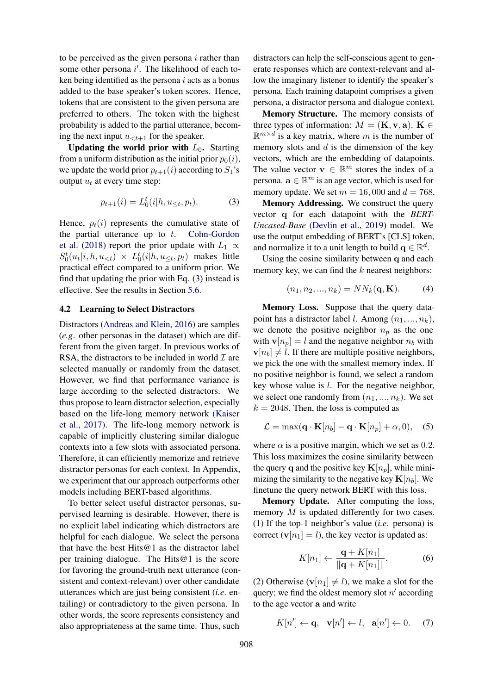to be perceived as the given persona  $i$  rather than some other persona  $i'$ . The likelihood of each token being identified as the persona  $i$  acts as a bonus added to the base speaker's token scores. Hence, tokens that are consistent to the given persona are preferred to others. The token with the highest probability is added to the partial utterance, becoming the next input  $u_{\leq t+1}$  for the speaker.

Updating the world prior with  $L_0$ . Starting from a uniform distribution as the initial prior  $p_0(i)$ , we update the world prior  $p_{t+1}(i)$  according to  $S_1$ 's output  $u_t$  at every time step:

$$
p_{t+1}(i) = L_0^t(i|h, u_{\leq t}, p_t).
$$
 (3)

Hence,  $p_t(i)$  represents the cumulative state of the partial utterance up to  $t$ . [Cohn-Gordon](#page-9-14) [et al.](#page-9-14) [\(2018\)](#page-9-14) report the prior update with  $L_1 \propto$  $S_0^t(u_t|i, h, u_{\leq t}) \times L_0^t(i|h, u_{\leq t}, p_t)$  makes little practical effect compared to a uniform prior. We find that updating the prior with Eq. [\(3\)](#page-4-1) instead is effective. See the results in Section [5.6.](#page-7-0)

### <span id="page-4-0"></span>4.2 Learning to Select Distractors

Distractors [\(Andreas and Klein,](#page-9-9) [2016\)](#page-9-9) are samples (*e.g*. other personas in the dataset) which are different from the given target. In previous works of RSA, the distractors to be included in world  $\mathcal I$  are selected manually or randomly from the dataset. However, we find that performance variance is large according to the selected distractors. We thus propose to learn distractor selection, especially based on the life-long memory network [\(Kaiser](#page-9-20) [et al.,](#page-9-20) [2017\)](#page-9-20). The life-long memory network is capable of implicitly clustering similar dialogue contexts into a few slots with associated persona. Therefore, it can efficiently memorize and retrieve distractor personas for each context. In Appendix, we experiment that our approach outperforms other models including BERT-based algorithms.

To better select useful distractor personas, supervised learning is desirable. However, there is no explicit label indicating which distractors are helpful for each dialogue. We select the persona that have the best Hits@1 as the distractor label per training dialogue. The Hits@1 is the score for favoring the ground-truth next utterance (consistent and context-relevant) over other candidate utterances which are just being consistent (*i.e*. entailing) or contradictory to the given persona. In other words, the score represents consistency and also appropriateness at the same time. Thus, such

distractors can help the self-conscious agent to generate responses which are context-relevant and allow the imaginary listener to identify the speaker's persona. Each training datapoint comprises a given persona, a distractor persona and dialogue context.

Memory Structure. The memory consists of three types of information:  $M = (\mathbf{K}, \mathbf{v}, \mathbf{a})$ .  $\mathbf{K} \in$  $\mathbb{R}^{m \times d}$  is a key matrix, where m is the number of memory slots and  $d$  is the dimension of the key vectors, which are the embedding of datapoints. The value vector  $\mathbf{v} \in \mathbb{R}^m$  stores the index of a persona.  $\mathbf{a} \in \mathbb{R}^m$  is an age vector, which is used for memory update. We set  $m = 16,000$  and  $d = 768$ .

<span id="page-4-1"></span>Memory Addressing. We construct the query vector q for each datapoint with the *BERT-Uncased-Base* [\(Devlin et al.,](#page-9-21) [2019\)](#page-9-21) model. We use the output embedding of BERT's [CLS] token, and normalize it to a unit length to build  $\mathbf{q} \in \mathbb{R}^d$ .

Using the cosine similarity between q and each memory key, we can find the  $k$  nearest neighbors:

$$
(n_1, n_2, ..., n_k) = NN_k(\mathbf{q}, \mathbf{K}).
$$
 (4)

Memory Loss. Suppose that the query datapoint has a distractor label *l*. Among  $(n_1, ..., n_k)$ , we denote the positive neighbor  $n_p$  as the one with  $\mathbf{v}[n_p] = l$  and the negative neighbor  $n_b$  with  $\mathbf{v}[n_b] \neq l$ . If there are multiple positive neighbors, we pick the one with the smallest memory index. If no positive neighbor is found, we select a random key whose value is  $l$ . For the negative neighbor, we select one randomly from  $(n_1, ..., n_k)$ . We set  $k = 2048$ . Then, the loss is computed as

$$
\mathcal{L} = \max(\mathbf{q} \cdot \mathbf{K}[n_b] - \mathbf{q} \cdot \mathbf{K}[n_p] + \alpha, 0), \quad (5)
$$

where  $\alpha$  is a positive margin, which we set as 0.2. This loss maximizes the cosine similarity between the query q and the positive key  $\mathbf{K}[n_p]$ , while minimizing the similarity to the negative key  $\mathbf{K}[n_b]$ . We finetune the query network BERT with this loss.

Memory Update. After computing the loss, memory M is updated differently for two cases. (1) If the top-1 neighbor's value (*i.e*. persona) is correct  $(v[n_1] = l)$ , the key vector is updated as:

$$
K[n_1] \leftarrow \frac{\mathbf{q} + K[n_1]}{\|\mathbf{q} + K[n_1]\|}.\tag{6}
$$

(2) Otherwise  $(v[n_1] \neq l)$ , we make a slot for the query; we find the oldest memory slot  $n'$  according to the age vector a and write

$$
K[n'] \leftarrow \mathbf{q}, \quad \mathbf{v}[n'] \leftarrow l, \quad \mathbf{a}[n'] \leftarrow 0. \tag{7}
$$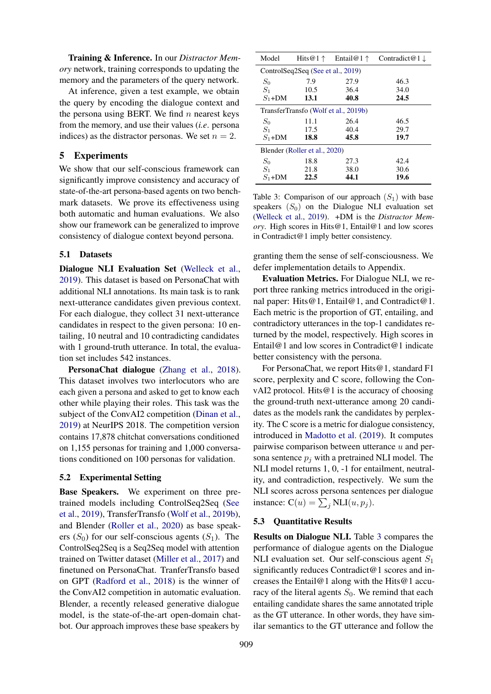Training & Inference. In our *Distractor Memory* network, training corresponds to updating the memory and the parameters of the query network.

At inference, given a test example, we obtain the query by encoding the dialogue context and the persona using BERT. We find  $n$  nearest keys from the memory, and use their values (*i.e*. persona indices) as the distractor personas. We set  $n = 2$ .

# 5 Experiments

We show that our self-conscious framework can significantly improve consistency and accuracy of state-of-the-art persona-based agents on two benchmark datasets. We prove its effectiveness using both automatic and human evaluations. We also show our framework can be generalized to improve consistency of dialogue context beyond persona.

### 5.1 Datasets

Dialogue NLI Evaluation Set [\(Welleck et al.,](#page-10-0) [2019\)](#page-10-0). This dataset is based on PersonaChat with additional NLI annotations. Its main task is to rank next-utterance candidates given previous context. For each dialogue, they collect 31 next-utterance candidates in respect to the given persona: 10 entailing, 10 neutral and 10 contradicting candidates with 1 ground-truth utterance. In total, the evaluation set includes 542 instances.

PersonaChat dialogue [\(Zhang et al.,](#page-10-1) [2018\)](#page-10-1). This dataset involves two interlocutors who are each given a persona and asked to get to know each other while playing their roles. This task was the subject of the ConvAI2 competition [\(Dinan et al.,](#page-9-22) [2019\)](#page-9-22) at NeurIPS 2018. The competition version contains 17,878 chitchat conversations conditioned on 1,155 personas for training and 1,000 conversations conditioned on 100 personas for validation.

# <span id="page-5-1"></span>5.2 Experimental Setting

Base Speakers. We experiment on three pretrained models including ControlSeq2Seq [\(See](#page-10-2) [et al.,](#page-10-2) [2019\)](#page-10-2), TransferTransfo [\(Wolf et al.,](#page-10-3) [2019b\)](#page-10-3), and Blender [\(Roller et al.,](#page-9-2) [2020\)](#page-9-2) as base speakers  $(S_0)$  for our self-conscious agents  $(S_1)$ . The ControlSeq2Seq is a Seq2Seq model with attention trained on Twitter dataset [\(Miller et al.,](#page-9-23) [2017\)](#page-9-23) and finetuned on PersonaChat. TranferTransfo based on GPT [\(Radford et al.,](#page-9-24) [2018\)](#page-9-24) is the winner of the ConvAI2 competition in automatic evaluation. Blender, a recently released generative dialogue model, is the state-of-the-art open-domain chatbot. Our approach improves these base speakers by

<span id="page-5-0"></span>

| Model                             | Hits $@1 \uparrow$                   | Entail@1 $\uparrow$ | Contradict@1 $\downarrow$ |  |
|-----------------------------------|--------------------------------------|---------------------|---------------------------|--|
| ControlSeq2Seq (See et al., 2019) |                                      |                     |                           |  |
| $S_0$                             | 7.9                                  | 27.9                | 46.3                      |  |
| $S_1$                             | 10.5                                 | 36.4                | 34.0                      |  |
| $S_1+DM$                          | 13.1                                 | 40.8                | 24.5                      |  |
|                                   | TransferTransfo (Wolf et al., 2019b) |                     |                           |  |
| $S_0$                             | 11.1                                 | 26.4                | 46.5                      |  |
| $S_1$                             | 17.5                                 | 40.4                | 29.7                      |  |
| $S_1+DM$                          | 18.8                                 | 45.8                | 19.7                      |  |
| Blender (Roller et al., 2020)     |                                      |                     |                           |  |
| $S_0$                             | 18.8                                 | 27.3                | 42.4                      |  |
| $S_1$                             | 21.8                                 | 38.0                | 30.6                      |  |
| $S_1+DM$                          | 22.5                                 | 44.1                | 19.6                      |  |

Table 3: Comparison of our approach  $(S_1)$  with base speakers  $(S_0)$  on the Dialogue NLI evaluation set [\(Welleck et al.,](#page-10-0) [2019\)](#page-10-0). +DM is the *Distractor Memory*. High scores in Hits@1, Entail@1 and low scores in Contradict@1 imply better consistency.

granting them the sense of self-consciousness. We defer implementation details to Appendix.

Evaluation Metrics. For Dialogue NLI, we report three ranking metrics introduced in the original paper: Hits@1, Entail@1, and Contradict@1. Each metric is the proportion of GT, entailing, and contradictory utterances in the top-1 candidates returned by the model, respectively. High scores in Entail@1 and low scores in Contradict@1 indicate better consistency with the persona.

For PersonaChat, we report Hits@1, standard F1 score, perplexity and C score, following the ConvAI2 protocol. Hits@1 is the accuracy of choosing the ground-truth next-utterance among 20 candidates as the models rank the candidates by perplexity. The C score is a metric for dialogue consistency, introduced in [Madotto et al.](#page-9-10) [\(2019\)](#page-9-10). It computes pairwise comparison between utterance  $u$  and persona sentence  $p_i$  with a pretrained NLI model. The NLI model returns 1, 0, -1 for entailment, neutrality, and contradiction, respectively. We sum the NLI scores across persona sentences per dialogue instance:  $C(u) = \sum_j NLI(u, p_j)$ .

### 5.3 Quantitative Results

Results on Dialogue NLI. Table [3](#page-5-0) compares the performance of dialogue agents on the Dialogue NLI evaluation set. Our self-conscious agent  $S_1$ significantly reduces Contradict@1 scores and increases the Entail@1 along with the Hits@1 accuracy of the literal agents  $S_0$ . We remind that each entailing candidate shares the same annotated triple as the GT utterance. In other words, they have similar semantics to the GT utterance and follow the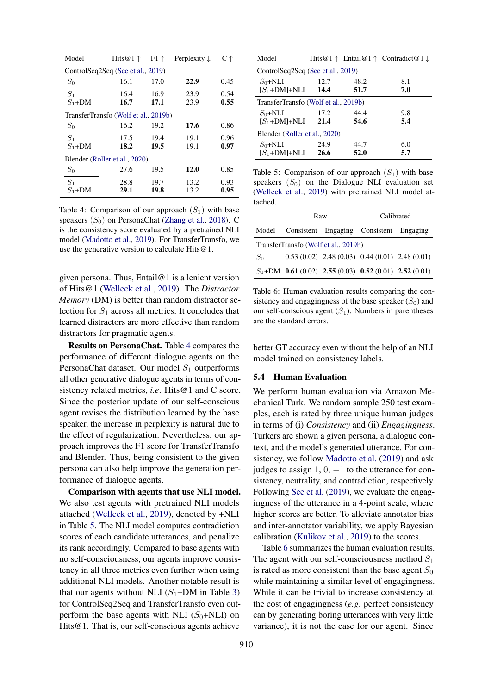<span id="page-6-0"></span>

| Model                         | Hits $@1 \uparrow$                   | $F1 \uparrow$ | Perplexity $\downarrow$ | $C \uparrow$ |  |
|-------------------------------|--------------------------------------|---------------|-------------------------|--------------|--|
|                               | ControlSeq2Seq (See et al., 2019)    |               |                         |              |  |
| $S_0$                         | 16.1                                 | 17.0          | 22.9                    | 0.45         |  |
| $S_1$<br>$S_1+DM$             | 16.4<br>16.7                         | 16.9<br>17.1  | 23.9<br>23.9            | 0.54<br>0.55 |  |
|                               |                                      |               |                         |              |  |
|                               | TransferTransfo (Wolf et al., 2019b) |               |                         |              |  |
| $S_0$                         | 16.2                                 | 19.2          | 17.6                    | 0.86         |  |
| $S_1$                         | 17.5                                 | 19.4          | 19.1                    | 0.96         |  |
| $S_1+DM$                      | 18.2                                 | 19.5          | 19.1                    | 0.97         |  |
| Blender (Roller et al., 2020) |                                      |               |                         |              |  |
| $S_0$                         | 27.6                                 | 19.5          | 12.0                    | 0.85         |  |
| $S_1$                         | 28.8                                 | 19.7          | 13.2                    | 0.93         |  |
| $S_1 + DM$                    | 29.1                                 | 19.8          | 13.2                    | 0.95         |  |

Table 4: Comparison of our approach  $(S_1)$  with base speakers  $(S_0)$  on PersonaChat [\(Zhang et al.,](#page-10-1) [2018\)](#page-10-1). C is the consistency score evaluated by a pretrained NLI model [\(Madotto et al.,](#page-9-10) [2019\)](#page-9-10). For TransferTransfo, we use the generative version to calculate Hits@1.

given persona. Thus, Entail@1 is a lenient version of Hits@1 [\(Welleck et al.,](#page-10-0) [2019\)](#page-10-0). The *Distractor Memory* (DM) is better than random distractor selection for  $S_1$  across all metrics. It concludes that learned distractors are more effective than random distractors for pragmatic agents.

Results on PersonaChat. Table [4](#page-6-0) compares the performance of different dialogue agents on the PersonaChat dataset. Our model  $S_1$  outperforms all other generative dialogue agents in terms of consistency related metrics, *i.e.* Hits@1 and C score. Since the posterior update of our self-conscious agent revises the distribution learned by the base speaker, the increase in perplexity is natural due to the effect of regularization. Nevertheless, our approach improves the F1 score for TransferTransfo and Blender. Thus, being consistent to the given persona can also help improve the generation performance of dialogue agents.

Comparison with agents that use NLI model. We also test agents with pretrained NLI models attached [\(Welleck et al.,](#page-10-0) [2019\)](#page-10-0), denoted by +NLI in Table [5.](#page-6-1) The NLI model computes contradiction scores of each candidate utterances, and penalize its rank accordingly. Compared to base agents with no self-consciousness, our agents improve consistency in all three metrics even further when using additional NLI models. Another notable result is that our agents without NLI  $(S_1+DM)$  in Table [3\)](#page-5-0) for ControlSeq2Seq and TransferTransfo even outperform the base agents with NLI  $(S_0+NLI)$  on Hits@1. That is, our self-conscious agents achieve

<span id="page-6-1"></span>

| ControlSeq2Seq (See et al., 2019)    |      |                                                                 |  |  |
|--------------------------------------|------|-----------------------------------------------------------------|--|--|
| 12.7                                 | 48.2 | 8.1                                                             |  |  |
| $[S_1+DM]+NLI$<br>14.4               | 51.7 | 7.0                                                             |  |  |
| TransferTransfo (Wolf et al., 2019b) |      |                                                                 |  |  |
| 17.2                                 | 44.4 | 9.8                                                             |  |  |
| 21.4                                 | 54.6 | 5.4                                                             |  |  |
| Blender (Roller et al., 2020)        |      |                                                                 |  |  |
| 24.9                                 | 44.7 | 6.0                                                             |  |  |
| 26.6                                 | 52.0 | 5.7                                                             |  |  |
|                                      |      | Hits@1 $\uparrow$ Entail@1 $\uparrow$ Contradict@1 $\downarrow$ |  |  |

Table 5: Comparison of our approach  $(S_1)$  with base speakers  $(S_0)$  on the Dialogue NLI evaluation set [\(Welleck et al.,](#page-10-0) [2019\)](#page-10-0) with pretrained NLI model attached.

<span id="page-6-2"></span>

|       | Raw                                  | Calibrated                                               |  |  |
|-------|--------------------------------------|----------------------------------------------------------|--|--|
| Model |                                      | Consistent Engaging Consistent Engaging                  |  |  |
|       | TransferTransfo (Wolf et al., 2019b) |                                                          |  |  |
| $S_0$ |                                      | $0.53(0.02)$ 2.48 $(0.03)$ 0.44 $(0.01)$ 2.48 $(0.01)$   |  |  |
|       |                                      | $S_1+DM$ 0.61 (0.02) 2.55 (0.03) 0.52 (0.01) 2.52 (0.01) |  |  |

Table 6: Human evaluation results comparing the consistency and engagingness of the base speaker  $(S_0)$  and our self-conscious agent  $(S_1)$ . Numbers in parentheses are the standard errors.

better GT accuracy even without the help of an NLI model trained on consistency labels.

# 5.4 Human Evaluation

We perform human evaluation via Amazon Mechanical Turk. We random sample 250 test examples, each is rated by three unique human judges in terms of (i) *Consistency* and (ii) *Engagingness*. Turkers are shown a given persona, a dialogue context, and the model's generated utterance. For consistency, we follow [Madotto et al.](#page-9-10) [\(2019\)](#page-9-10) and ask judges to assign  $1, 0, -1$  to the utterance for consistency, neutrality, and contradiction, respectively. Following [See et al.](#page-10-2) [\(2019\)](#page-10-2), we evaluate the engagingness of the utterance in a 4-point scale, where higher scores are better. To alleviate annotator bias and inter-annotator variability, we apply Bayesian calibration [\(Kulikov et al.,](#page-9-25) [2019\)](#page-9-25) to the scores.

Table [6](#page-6-2) summarizes the human evaluation results. The agent with our self-consciousness method  $S_1$ is rated as more consistent than the base agent  $S_0$ while maintaining a similar level of engagingness. While it can be trivial to increase consistency at the cost of engagingness (*e.g*. perfect consistency can by generating boring utterances with very little variance), it is not the case for our agent. Since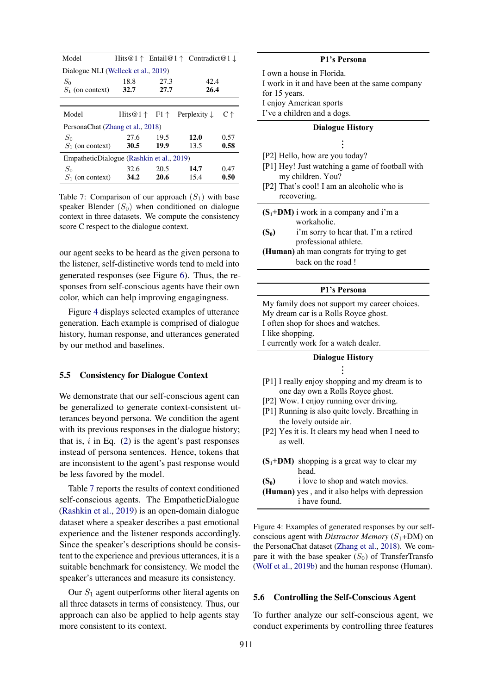<span id="page-7-2"></span>

| Model                                     |             |      | Hits@1 $\uparrow$ Entail@1 $\uparrow$ Contradict@1 $\downarrow$ |      |
|-------------------------------------------|-------------|------|-----------------------------------------------------------------|------|
| Dialogue NLI (Welleck et al., 2019)       |             |      |                                                                 |      |
| $S_0$                                     | 18.8        | 27.3 | 42.4                                                            |      |
| $S_1$ (on context)                        | 32.7        | 27.7 | 26.4                                                            |      |
|                                           |             |      |                                                                 |      |
| Model                                     |             |      | Hits $@1 \uparrow$ F1 $\uparrow$ Perplexity $\downarrow$        | С↑   |
| PersonaChat (Zhang et al., 2018)          |             |      |                                                                 |      |
| $S_0$                                     | 27.6        | 19.5 | 12.0                                                            | 0.57 |
| $S_1$ (on context)                        | <b>30.5</b> | 19.9 | 13.5                                                            | 0.58 |
| EmpatheticDialogue (Rashkin et al., 2019) |             |      |                                                                 |      |
| $S_0$                                     | 32.6        | 20.5 | 14.7                                                            | 0.47 |
| $S_1$ (on context)                        | 34.2        | 20.6 | 15.4                                                            | 0.50 |

Table 7: Comparison of our approach  $(S_1)$  with base speaker Blender  $(S_0)$  when conditioned on dialogue context in three datasets. We compute the consistency score C respect to the dialogue context.

our agent seeks to be heard as the given persona to the listener, self-distinctive words tend to meld into generated responses (see Figure [6\)](#page-8-0). Thus, the responses from self-conscious agents have their own color, which can help improving engagingness.

Figure [4](#page-7-1) displays selected examples of utterance generation. Each example is comprised of dialogue history, human response, and utterances generated by our method and baselines.

### 5.5 Consistency for Dialogue Context

We demonstrate that our self-conscious agent can be generalized to generate context-consistent utterances beyond persona. We condition the agent with its previous responses in the dialogue history; that is,  $i$  in Eq. [\(2\)](#page-3-2) is the agent's past responses instead of persona sentences. Hence, tokens that are inconsistent to the agent's past response would be less favored by the model.

Table [7](#page-7-2) reports the results of context conditioned self-conscious agents. The EmpatheticDialogue [\(Rashkin et al.,](#page-9-26) [2019\)](#page-9-26) is an open-domain dialogue dataset where a speaker describes a past emotional experience and the listener responds accordingly. Since the speaker's descriptions should be consistent to the experience and previous utterances, it is a suitable benchmark for consistency. We model the speaker's utterances and measure its consistency.

Our  $S_1$  agent outperforms other literal agents on all three datasets in terms of consistency. Thus, our approach can also be applied to help agents stay more consistent to its context.

<span id="page-7-1"></span>

| P1's Persona                                                                                                                                                                                                                                                                 |  |  |  |
|------------------------------------------------------------------------------------------------------------------------------------------------------------------------------------------------------------------------------------------------------------------------------|--|--|--|
| I own a house in Florida.<br>I work in it and have been at the same company<br>for 15 years.<br>I enjoy American sports<br>I've a children and a dogs.                                                                                                                       |  |  |  |
| <b>Dialogue History</b>                                                                                                                                                                                                                                                      |  |  |  |
| [P2] Hello, how are you today?<br>[P1] Hey! Just watching a game of football with<br>my children. You?<br>[P2] That's cool! I am an alcoholic who is<br>recovering.                                                                                                          |  |  |  |
| $(S_1+DM)$ i work in a company and i'm a<br>workaholic.<br>$(S_0)$<br>i'm sorry to hear that. I'm a retired<br>professional athlete.<br>(Human) ah man congrats for trying to get<br>back on the road!                                                                       |  |  |  |
|                                                                                                                                                                                                                                                                              |  |  |  |
| P1's Persona                                                                                                                                                                                                                                                                 |  |  |  |
| My family does not support my career choices.<br>My dream car is a Rolls Royce ghost.<br>I often shop for shoes and watches.<br>I like shopping.<br>I currently work for a watch dealer.                                                                                     |  |  |  |
| <b>Dialogue History</b>                                                                                                                                                                                                                                                      |  |  |  |
| [P1] I really enjoy shopping and my dream is to<br>one day own a Rolls Royce ghost.<br>[P2] Wow. I enjoy running over driving.<br>[P1] Running is also quite lovely. Breathing in<br>the lovely outside air.<br>[P2] Yes it is. It clears my head when I need to<br>as well. |  |  |  |
| $(S_1+DM)$ shopping is a great way to clear my<br>head.<br>i love to shop and watch movies.<br>$(S_0)$<br>(Human) yes, and it also helps with depression<br>i have found.                                                                                                    |  |  |  |

# **Dialogue History**

# [P1] I really enjoy shopping and my dream is to one day own a Rolls Royce ghost.

- [P2] Wow. I enjoy running over driving.
- [P1] Running is also quite lovely. Breathing in the lovely outside air.
- [P2] Yes it is. It clears my head when I need to as well.

|         | $(S_1+DM)$ shopping is a great way to clear my |
|---------|------------------------------------------------|
|         | head.                                          |
| $(S_0)$ | i love to shop and watch movies.               |
|         | (Human) yes, and it also helps with depression |
|         | <i>i</i> have found.                           |

Figure 4: Examples of generated responses by our selfconscious agent with *Distractor Memory*  $(S_1+DM)$  on the PersonaChat dataset [\(Zhang et al.,](#page-10-1) [2018\)](#page-10-1). We compare it with the base speaker  $(S_0)$  of TransferTransfo [\(Wolf et al.,](#page-10-3) [2019b\)](#page-10-3) and the human response (Human).

#### <span id="page-7-0"></span>5.6 Controlling the Self-Conscious Agent

To further analyze our self-conscious agent, we conduct experiments by controlling three features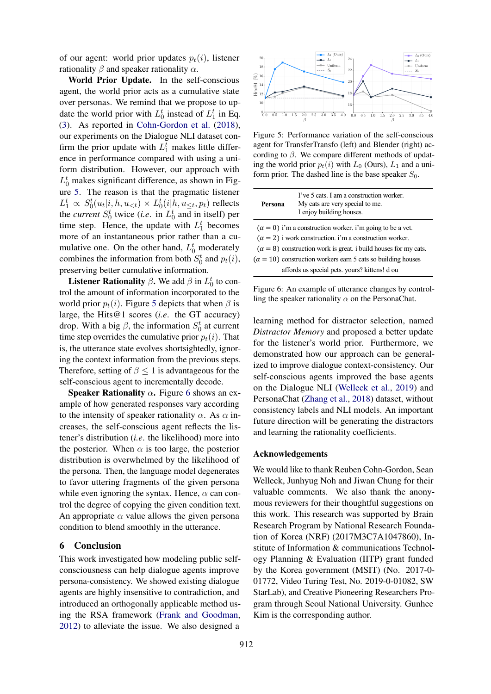of our agent: world prior updates  $p_t(i)$ , listener rationality  $\beta$  and speaker rationality  $\alpha$ .

World Prior Update. In the self-conscious agent, the world prior acts as a cumulative state over personas. We remind that we propose to update the world prior with  $L_0^t$  instead of  $L_1^t$  in Eq. [\(3\)](#page-4-1). As reported in [Cohn-Gordon et al.](#page-9-14) [\(2018\)](#page-9-14), our experiments on the Dialogue NLI dataset confirm the prior update with  $L_1^t$  makes little difference in performance compared with using a uniform distribution. However, our approach with  $L_0^t$  makes significant difference, as shown in Figure [5.](#page-8-1) The reason is that the pragmatic listener  $L_1^t \propto S_0^t(u_t|i, h, u_{\leq t}) \times L_0^t(i|h, u_{\leq t}, p_t)$  reflects the *current*  $S_0^t$  twice (*i.e.* in  $L_0^t$  and in itself) per time step. Hence, the update with  $L_1^t$  becomes more of an instantaneous prior rather than a cumulative one. On the other hand,  $L_0^t$  moderately combines the information from both  $S_0^t$  and  $p_t(i)$ , preserving better cumulative information.

**Listener Rationality**  $\beta$ . We add  $\beta$  in  $L_0^t$  to control the amount of information incorporated to the world prior  $p_t(i)$ . Figure [5](#page-8-1) depicts that when  $\beta$  is large, the Hits@1 scores (*i.e*. the GT accuracy) drop. With a big  $\beta$ , the information  $S_0^t$  at current time step overrides the cumulative prior  $p_t(i)$ . That is, the utterance state evolves shortsightedly, ignoring the context information from the previous steps. Therefore, setting of  $\beta \leq 1$  is advantageous for the self-conscious agent to incrementally decode.

**Speaker Rationality**  $\alpha$ **.** Figure [6](#page-8-0) shows an example of how generated responses vary according to the intensity of speaker rationality  $\alpha$ . As  $\alpha$  increases, the self-conscious agent reflects the listener's distribution (*i.e*. the likelihood) more into the posterior. When  $\alpha$  is too large, the posterior distribution is overwhelmed by the likelihood of the persona. Then, the language model degenerates to favor uttering fragments of the given persona while even ignoring the syntax. Hence,  $\alpha$  can control the degree of copying the given condition text. An appropriate  $\alpha$  value allows the given personal condition to blend smoothly in the utterance.

# 6 Conclusion

This work investigated how modeling public selfconsciousness can help dialogue agents improve persona-consistency. We showed existing dialogue agents are highly insensitive to contradiction, and introduced an orthogonally applicable method using the RSA framework [\(Frank and Goodman,](#page-9-0) [2012\)](#page-9-0) to alleviate the issue. We also designed a

<span id="page-8-1"></span>

Figure 5: Performance variation of the self-conscious agent for TransferTransfo (left) and Blender (right) according to  $\beta$ . We compare different methods of updating the world prior  $p_t(i)$  with  $L_0$  (Ours),  $L_1$  and a uniform prior. The dashed line is the base speaker  $S_0$ .

<span id="page-8-0"></span>

| Persona | I've 5 cats. I am a construction worker.<br>My cats are very special to me.<br>I enjoy building houses.                                                                                                                                                                                                                              |
|---------|--------------------------------------------------------------------------------------------------------------------------------------------------------------------------------------------------------------------------------------------------------------------------------------------------------------------------------------|
|         | $(\alpha = 0)$ i'm a construction worker. i'm going to be a vet.<br>$(\alpha = 2)$ i work construction. i'm a construction worker.<br>$(\alpha = 8)$ construction work is great. i build houses for my cats.<br>$(\alpha = 10)$ construction workers earn 5 cats so building houses<br>affords us special pets. yours? kittens! d ou |

Figure 6: An example of utterance changes by controlling the speaker rationality  $\alpha$  on the PersonaChat.

learning method for distractor selection, named *Distractor Memory* and proposed a better update for the listener's world prior. Furthermore, we demonstrated how our approach can be generalized to improve dialogue context-consistency. Our self-conscious agents improved the base agents on the Dialogue NLI [\(Welleck et al.,](#page-10-0) [2019\)](#page-10-0) and PersonaChat [\(Zhang et al.,](#page-10-1) [2018\)](#page-10-1) dataset, without consistency labels and NLI models. An important future direction will be generating the distractors and learning the rationality coefficients.

### Acknowledgements

We would like to thank Reuben Cohn-Gordon, Sean Welleck, Junhyug Noh and Jiwan Chung for their valuable comments. We also thank the anonymous reviewers for their thoughtful suggestions on this work. This research was supported by Brain Research Program by National Research Foundation of Korea (NRF) (2017M3C7A1047860), Institute of Information & communications Technology Planning & Evaluation (IITP) grant funded by the Korea government (MSIT) (No. 2017-0- 01772, Video Turing Test, No. 2019-0-01082, SW StarLab), and Creative Pioneering Researchers Program through Seoul National University. Gunhee Kim is the corresponding author.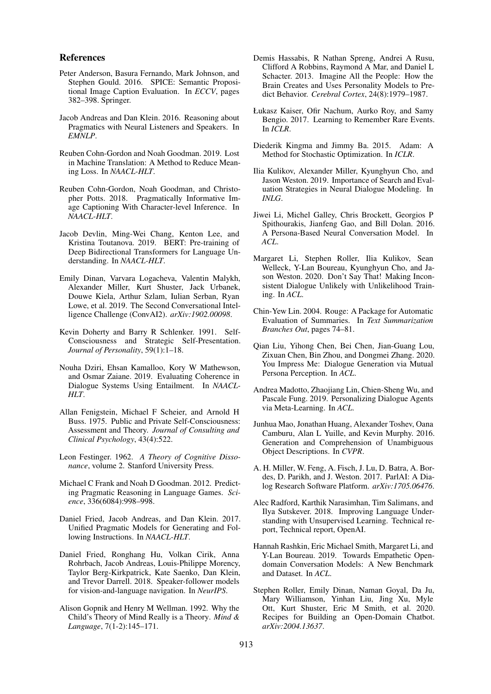# References

- <span id="page-9-18"></span>Peter Anderson, Basura Fernando, Mark Johnson, and Stephen Gould. 2016. SPICE: Semantic Propositional Image Caption Evaluation. In *ECCV*, pages 382–398. Springer.
- <span id="page-9-9"></span>Jacob Andreas and Dan Klein. 2016. Reasoning about Pragmatics with Neural Listeners and Speakers. In *EMNLP*.
- <span id="page-9-17"></span>Reuben Cohn-Gordon and Noah Goodman. 2019. Lost in Machine Translation: A Method to Reduce Meaning Loss. In *NAACL-HLT*.
- <span id="page-9-14"></span>Reuben Cohn-Gordon, Noah Goodman, and Christopher Potts. 2018. Pragmatically Informative Image Captioning With Character-level Inference. In *NAACL-HLT*.
- <span id="page-9-21"></span>Jacob Devlin, Ming-Wei Chang, Kenton Lee, and Kristina Toutanova. 2019. BERT: Pre-training of Deep Bidirectional Transformers for Language Understanding. In *NAACL-HLT*.
- <span id="page-9-22"></span>Emily Dinan, Varvara Logacheva, Valentin Malykh, Alexander Miller, Kurt Shuster, Jack Urbanek, Douwe Kiela, Arthur Szlam, Iulian Serban, Ryan Lowe, et al. 2019. The Second Conversational Intelligence Challenge (ConvAI2). *arXiv:1902.00098*.
- <span id="page-9-6"></span>Kevin Doherty and Barry R Schlenker. 1991. Self-Consciousness and Strategic Self-Presentation. *Journal of Personality*, 59(1):1–18.
- <span id="page-9-12"></span>Nouha Dziri, Ehsan Kamalloo, Kory W Mathewson, and Osmar Zaiane. 2019. Evaluating Coherence in Dialogue Systems Using Entailment. In *NAACL-HLT*.
- <span id="page-9-5"></span>Allan Fenigstein, Michael F Scheier, and Arnold H Buss. 1975. Public and Private Self-Consciousness: Assessment and Theory. *Journal of Consulting and Clinical Psychology*, 43(4):522.
- <span id="page-9-4"></span>Leon Festinger. 1962. *A Theory of Cognitive Dissonance*, volume 2. Stanford University Press.
- <span id="page-9-0"></span>Michael C Frank and Noah D Goodman. 2012. Predicting Pragmatic Reasoning in Language Games. *Science*, 336(6084):998–998.
- <span id="page-9-15"></span>Daniel Fried, Jacob Andreas, and Dan Klein. 2017. Unified Pragmatic Models for Generating and Following Instructions. In *NAACL-HLT*.
- <span id="page-9-16"></span>Daniel Fried, Ronghang Hu, Volkan Cirik, Anna Rohrbach, Jacob Andreas, Louis-Philippe Morency, Taylor Berg-Kirkpatrick, Kate Saenko, Dan Klein, and Trevor Darrell. 2018. Speaker-follower models for vision-and-language navigation. In *NeurIPS*.
- <span id="page-9-7"></span>Alison Gopnik and Henry M Wellman. 1992. Why the Child's Theory of Mind Really is a Theory. *Mind & Language*, 7(1-2):145–171.
- <span id="page-9-8"></span>Demis Hassabis, R Nathan Spreng, Andrei A Rusu, Clifford A Robbins, Raymond A Mar, and Daniel L Schacter. 2013. Imagine All the People: How the Brain Creates and Uses Personality Models to Predict Behavior. *Cerebral Cortex*, 24(8):1979–1987.
- <span id="page-9-20"></span>Łukasz Kaiser, Ofir Nachum, Aurko Roy, and Samy Bengio. 2017. Learning to Remember Rare Events. In *ICLR*.
- <span id="page-9-27"></span>Diederik Kingma and Jimmy Ba. 2015. Adam: A Method for Stochastic Optimization. In *ICLR*.
- <span id="page-9-25"></span>Ilia Kulikov, Alexander Miller, Kyunghyun Cho, and Jason Weston. 2019. Importance of Search and Evaluation Strategies in Neural Dialogue Modeling. In *INLG*.
- <span id="page-9-1"></span>Jiwei Li, Michel Galley, Chris Brockett, Georgios P Spithourakis, Jianfeng Gao, and Bill Dolan. 2016. A Persona-Based Neural Conversation Model. In *ACL*.
- <span id="page-9-3"></span>Margaret Li, Stephen Roller, Ilia Kulikov, Sean Welleck, Y-Lan Boureau, Kyunghyun Cho, and Jason Weston. 2020. Don't Say That! Making Inconsistent Dialogue Unlikely with Unlikelihood Training. In *ACL*.
- <span id="page-9-19"></span>Chin-Yew Lin. 2004. Rouge: A Package for Automatic Evaluation of Summaries. In *Text Summarization Branches Out*, pages 74–81.
- <span id="page-9-11"></span>Qian Liu, Yihong Chen, Bei Chen, Jian-Guang Lou, Zixuan Chen, Bin Zhou, and Dongmei Zhang. 2020. You Impress Me: Dialogue Generation via Mutual Persona Perception. In *ACL*.
- <span id="page-9-10"></span>Andrea Madotto, Zhaojiang Lin, Chien-Sheng Wu, and Pascale Fung. 2019. Personalizing Dialogue Agents via Meta-Learning. In *ACL*.
- <span id="page-9-13"></span>Junhua Mao, Jonathan Huang, Alexander Toshev, Oana Camburu, Alan L Yuille, and Kevin Murphy. 2016. Generation and Comprehension of Unambiguous Object Descriptions. In *CVPR*.
- <span id="page-9-23"></span>A. H. Miller, W. Feng, A. Fisch, J. Lu, D. Batra, A. Bordes, D. Parikh, and J. Weston. 2017. ParlAI: A Dialog Research Software Platform. *arXiv:1705.06476*.
- <span id="page-9-24"></span>Alec Radford, Karthik Narasimhan, Tim Salimans, and Ilya Sutskever. 2018. Improving Language Understanding with Unsupervised Learning. Technical report, Technical report, OpenAI.
- <span id="page-9-26"></span>Hannah Rashkin, Eric Michael Smith, Margaret Li, and Y-Lan Boureau. 2019. Towards Empathetic Opendomain Conversation Models: A New Benchmark and Dataset. In *ACL*.
- <span id="page-9-2"></span>Stephen Roller, Emily Dinan, Naman Goyal, Da Ju, Mary Williamson, Yinhan Liu, Jing Xu, Myle Ott, Kurt Shuster, Eric M Smith, et al. 2020. Recipes for Building an Open-Domain Chatbot. *arXiv:2004.13637*.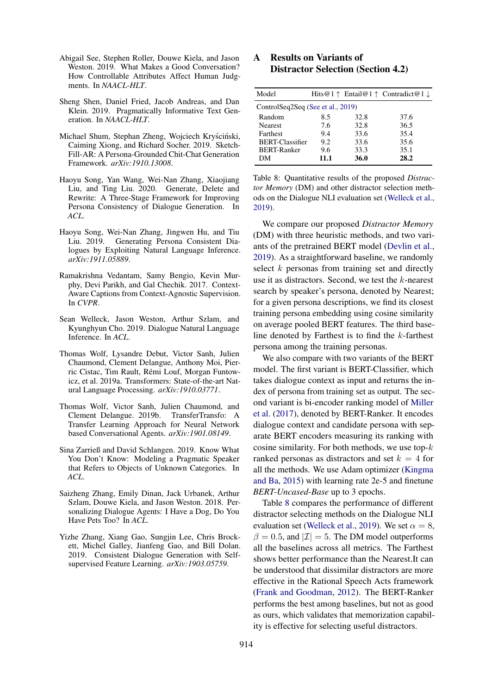- <span id="page-10-2"></span>Abigail See, Stephen Roller, Douwe Kiela, and Jason Weston. 2019. What Makes a Good Conversation? How Controllable Attributes Affect Human Judgments. In *NAACL-HLT*.
- <span id="page-10-9"></span>Sheng Shen, Daniel Fried, Jacob Andreas, and Dan Klein. 2019. Pragmatically Informative Text Generation. In *NAACL-HLT*.
- <span id="page-10-6"></span>Michael Shum, Stephan Zheng, Wojciech Kryściński, Caiming Xiong, and Richard Socher. 2019. Sketch-Fill-AR: A Persona-Grounded Chit-Chat Generation Framework. *arXiv:1910.13008*.
- <span id="page-10-5"></span>Haoyu Song, Yan Wang, Wei-Nan Zhang, Xiaojiang Liu, and Ting Liu. 2020. Generate, Delete and Rewrite: A Three-Stage Framework for Improving Persona Consistency of Dialogue Generation. In *ACL*.
- <span id="page-10-4"></span>Haoyu Song, Wei-Nan Zhang, Jingwen Hu, and Tiu Liu. 2019. Generating Persona Consistent Dialogues by Exploiting Natural Language Inference. *arXiv:1911.05889*.
- <span id="page-10-8"></span>Ramakrishna Vedantam, Samy Bengio, Kevin Murphy, Devi Parikh, and Gal Chechik. 2017. Context-Aware Captions from Context-Agnostic Supervision. In *CVPR*.
- <span id="page-10-0"></span>Sean Welleck, Jason Weston, Arthur Szlam, and Kyunghyun Cho. 2019. Dialogue Natural Language Inference. In *ACL*.
- <span id="page-10-12"></span>Thomas Wolf, Lysandre Debut, Victor Sanh, Julien Chaumond, Clement Delangue, Anthony Moi, Pierric Cistac, Tim Rault, Rémi Louf, Morgan Funtowicz, et al. 2019a. Transformers: State-of-the-art Natural Language Processing. *arXiv:1910.03771*.
- <span id="page-10-3"></span>Thomas Wolf, Victor Sanh, Julien Chaumond, and Clement Delangue. 2019b. TransferTransfo: A Transfer Learning Approach for Neural Network based Conversational Agents. *arXiv:1901.08149*.
- <span id="page-10-10"></span>Sina Zarrieß and David Schlangen. 2019. Know What You Don't Know: Modeling a Pragmatic Speaker that Refers to Objects of Unknown Categories. In *ACL*.
- <span id="page-10-1"></span>Saizheng Zhang, Emily Dinan, Jack Urbanek, Arthur Szlam, Douwe Kiela, and Jason Weston. 2018. Personalizing Dialogue Agents: I Have a Dog, Do You Have Pets Too? In *ACL*.
- <span id="page-10-7"></span>Yizhe Zhang, Xiang Gao, Sungjin Lee, Chris Brockett, Michel Galley, Jianfeng Gao, and Bill Dolan. 2019. Consistent Dialogue Generation with Selfsupervised Feature Learning. *arXiv:1903.05759*.

# A Results on Variants of Distractor Selection (Section 4.2)

<span id="page-10-11"></span>

| Model                             |      |      | Hits@1 $\uparrow$ Entail@1 $\uparrow$ Contradict@1 $\downarrow$ |  |
|-----------------------------------|------|------|-----------------------------------------------------------------|--|
| ControlSeq2Seq (See et al., 2019) |      |      |                                                                 |  |
| Random                            | 8.5  | 32.8 | 37.6                                                            |  |
| <b>Nearest</b>                    | 7.6  | 32.8 | 36.5                                                            |  |
| <b>Farthest</b>                   | 9.4  | 33.6 | 35.4                                                            |  |
| <b>BERT-Classifier</b>            | 9.2  | 33.6 | 35.6                                                            |  |
| <b>BERT-Ranker</b>                | 9.6  | 33.3 | 35.1                                                            |  |
| DМ                                | 11.1 | 36.0 | 28.2                                                            |  |

Table 8: Quantitative results of the proposed *Distractor Memory* (DM) and other distractor selection methods on the Dialogue NLI evaluation set [\(Welleck et al.,](#page-10-0) [2019\)](#page-10-0).

We compare our proposed *Distractor Memory* (DM) with three heuristic methods, and two variants of the pretrained BERT model [\(Devlin et al.,](#page-9-21) [2019\)](#page-9-21). As a straightforward baseline, we randomly select  $k$  personas from training set and directly use it as distractors. Second, we test the k-nearest search by speaker's persona, denoted by Nearest; for a given persona descriptions, we find its closest training persona embedding using cosine similarity on average pooled BERT features. The third baseline denoted by Farthest is to find the  $k$ -farthest persona among the training personas.

We also compare with two variants of the BERT model. The first variant is BERT-Classifier, which takes dialogue context as input and returns the index of persona from training set as output. The second variant is bi-encoder ranking model of [Miller](#page-9-23) [et al.](#page-9-23) [\(2017\)](#page-9-23), denoted by BERT-Ranker. It encodes dialogue context and candidate persona with separate BERT encoders measuring its ranking with cosine similarity. For both methods, we use top- $k$ ranked personas as distractors and set  $k = 4$  for all the methods. We use Adam optimizer [\(Kingma](#page-9-27) [and Ba,](#page-9-27) [2015\)](#page-9-27) with learning rate 2e-5 and finetune *BERT-Uncased-Base* up to 3 epochs.

Table [8](#page-10-11) compares the performance of different distractor selecting methods on the Dialogue NLI evaluation set [\(Welleck et al.,](#page-10-0) [2019\)](#page-10-0). We set  $\alpha = 8$ ,  $\beta = 0.5$ , and  $|\mathcal{I}| = 5$ . The DM model outperforms all the baselines across all metrics. The Farthest shows better performance than the Nearest.It can be understood that dissimilar distractors are more effective in the Rational Speech Acts framework [\(Frank and Goodman,](#page-9-0) [2012\)](#page-9-0). The BERT-Ranker performs the best among baselines, but not as good as ours, which validates that memorization capability is effective for selecting useful distractors.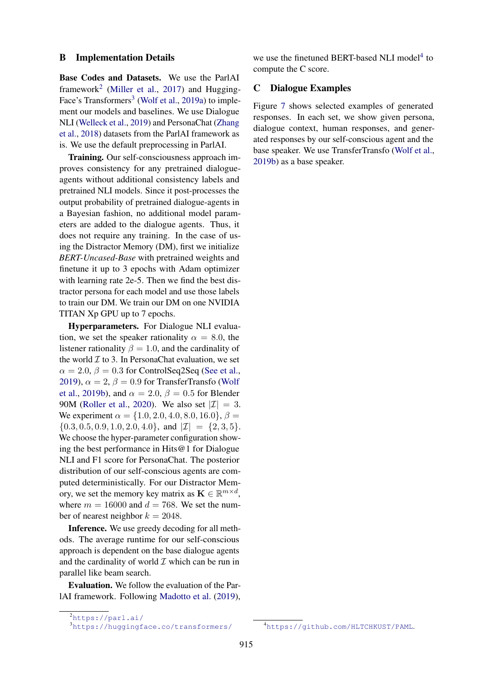### B Implementation Details

Base Codes and Datasets. We use the ParlAI framework<sup>[2](#page-11-0)</sup> [\(Miller et al.,](#page-9-23) [2017\)](#page-9-23) and Hugging-Face's Transformers<sup>[3](#page-11-1)</sup> [\(Wolf et al.,](#page-10-12) [2019a\)](#page-10-12) to implement our models and baselines. We use Dialogue NLI [\(Welleck et al.,](#page-10-0) [2019\)](#page-10-0) and PersonaChat [\(Zhang](#page-10-1) [et al.,](#page-10-1) [2018\)](#page-10-1) datasets from the ParlAI framework as is. We use the default preprocessing in ParlAI.

Training. Our self-consciousness approach improves consistency for any pretrained dialogueagents without additional consistency labels and pretrained NLI models. Since it post-processes the output probability of pretrained dialogue-agents in a Bayesian fashion, no additional model parameters are added to the dialogue agents. Thus, it does not require any training. In the case of using the Distractor Memory (DM), first we initialize *BERT-Uncased-Base* with pretrained weights and finetune it up to 3 epochs with Adam optimizer with learning rate 2e-5. Then we find the best distractor persona for each model and use those labels to train our DM. We train our DM on one NVIDIA TITAN Xp GPU up to 7 epochs.

Hyperparameters. For Dialogue NLI evaluation, we set the speaker rationality  $\alpha = 8.0$ , the listener rationality  $\beta = 1.0$ , and the cardinality of the world  $\mathcal I$  to 3. In PersonaChat evaluation, we set  $\alpha = 2.0, \beta = 0.3$  for ControlSeq2Seq [\(See et al.,](#page-10-2) [2019\)](#page-10-2),  $\alpha = 2$ ,  $\beta = 0.9$  for TransferTransfo [\(Wolf](#page-10-3) [et al.,](#page-10-3) [2019b\)](#page-10-3), and  $\alpha = 2.0$ ,  $\beta = 0.5$  for Blender 90M [\(Roller et al.,](#page-9-2) [2020\)](#page-9-2). We also set  $|\mathcal{I}| = 3$ . We experiment  $\alpha = \{1.0, 2.0, 4.0, 8.0, 16.0\}, \beta =$  ${0.3, 0.5, 0.9, 1.0, 2.0, 4.0}$ , and  $|\mathcal{I}| = {2, 3, 5}$ . We choose the hyper-parameter configuration showing the best performance in Hits@1 for Dialogue NLI and F1 score for PersonaChat. The posterior distribution of our self-conscious agents are computed deterministically. For our Distractor Memory, we set the memory key matrix as  $\mathbf{K} \in \mathbb{R}^{m \times d}$ , where  $m = 16000$  and  $d = 768$ . We set the number of nearest neighbor  $k = 2048$ .

Inference. We use greedy decoding for all methods. The average runtime for our self-conscious approach is dependent on the base dialogue agents and the cardinality of world  $\mathcal I$  which can be run in parallel like beam search.

Evaluation. We follow the evaluation of the ParlAI framework. Following [Madotto et al.](#page-9-10) [\(2019\)](#page-9-10),

we use the finetuned BERT-based NLI model<sup>[4](#page-11-2)</sup> to compute the C score.

# C Dialogue Examples

Figure [7](#page-12-0) shows selected examples of generated responses. In each set, we show given persona, dialogue context, human responses, and generated responses by our self-conscious agent and the base speaker. We use TransferTransfo [\(Wolf et al.,](#page-10-3) [2019b\)](#page-10-3) as a base speaker.

<span id="page-11-0"></span><sup>2</sup><https://parl.ai/>

<span id="page-11-1"></span><sup>3</sup><https://huggingface.co/transformers/>

<span id="page-11-2"></span><sup>4</sup><https://github.com/HLTCHKUST/PAML>.